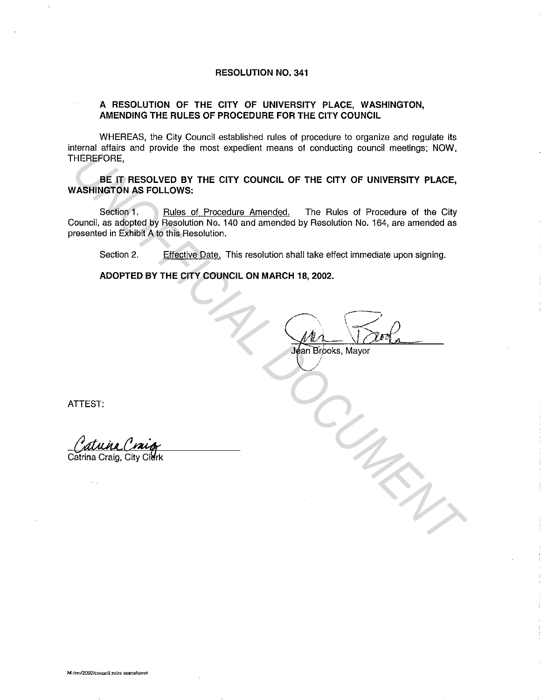#### **RESOLUTION NO. 341**

### **A RESOLUTION OF THE CITY OF UNIVERSITY PLACE, WASHINGTON, AMENDING THE RULES OF PROCEDURE FOR THE CITY COUNCIL**

WHEREAS, the City Council established rules of procedure to organize and regulate its internal affairs and provide the most expedient means of conducting council meetings; NOW, THEREFORE,

**BE IT RESOLVED BY THE CITY COUNCIL OF THE CITY OF UNIVERSITY PLACE, WASHINGTON AS FOLLOWS:** 

Section 1. **Rules of Procedure Amended.** The Rules of Procedure of the City Council, as adopted by Resolution No. 140 and amended by Resolution No. 164, are amended as presented in Exhibit A to this Resolution. **HEREFORE**<br> **ISE IT RESOLVED BY THE CITY COUNCIL OF THE CITY OF UNIVERSITY PLACE,**<br> **UNOFFICIAL AND AND THE CITY COUNCIL OF THE CITY OF UNIVERSITY PLACE,**<br>
Section 1. Evides of Procedure of the City<br>
Council, as adopted by

Section 2. Effective Date. This resolution shall take effect immediate upon signing.

**ADOPTED BY THE CITY COUNCIL ON MARCH 18, 2002.** 

an Brooks, Mayor

**ATTEST:** 

Catrina Craig, City Cierk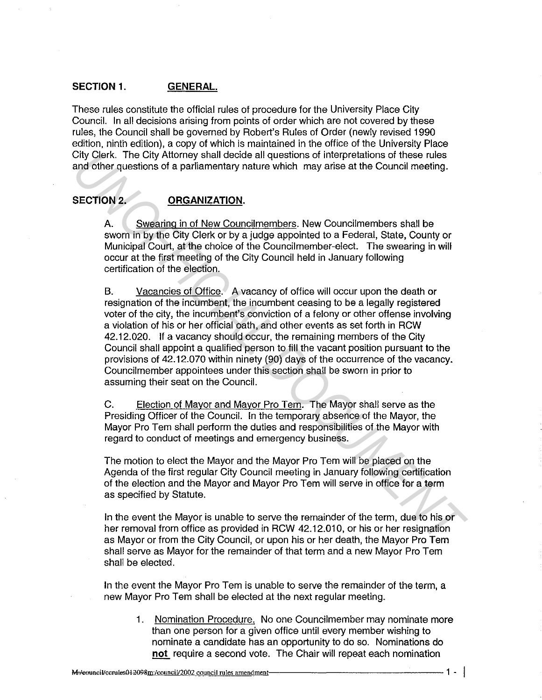### **SECTION 1. GENERAL.**

These rules constitute the official rules of procedure for the University Place City Council. In all decisions arising from points of order which are not covered by these rules, the Council shall be governed by Robert's Rules of Order (newly revised 1990 edition, ninth edition), a copy of which is maintained in the office of the University Place City Clerk. The City Attorney shall decide all questions of interpretations of these rules and other questions of a parliamentary nature which may arise at the Council meeting.

# SECTION 2. **ORGANIZATION.**

A. Swearing in of New Councilmembers. New Councilmembers shall be sworn in by the City Clerk or by a judge appointed to a Federal, State, County or Municipal Court, at the choice of the Councilmember-elect. The swearing in will occur at the first meeting of the City Council held in January following certification of the election.

B. Vacancies of Office. A vacancy of office will occur upon the death or resignation of the incumbent, the incumbent ceasing to be a legally registered voter of the city, the incumbent's conviction of a felony or other offense involving a violation of his or her official oath, and other events as set forth in RCW 42.12.020. If a vacancy should occur, the remaining members of the City Council shall appoint a qualified person to fill the vacant position pursuant to the provisions of 42.12.070 within ninety (90) days of the occurrence of the vacancy. Councilmember appointees under this section shall be sworn in prior to assuming their seat on the Council. City Clerk. The City Attomey shall decide all questions of interpretations of these rules<br>and other questions of a parliamentary nature which may arise at the Council meeting.<br>**SECTION 2.** ORGANIZATION.<br>A... <u>Sweening in o</u>

C. Election of Mayor and Mayor Pro Tern. The Mayor shall serve as the Presiding Officer of the Council. In the temporary absence of the Mayor, the Mayor Pro Tern shall perform the duties and responsibilities of the Mayor with regard to conduct of meetings and emergency business.

The motion to elect the Mayor and the Mayor Pro Tern will be placed on the Agenda of the first regular City Council meeting in January following certification of the election and the Mayor and Mayor Pro Tem will serve in office for a term as specified by Statute.

In the event the Mayor is unable to serve the remainder of the term, due to his or her removal from office as provided in RCW 42.12.010, or his or her resignation as Mayor or from the City Council, or upon his or her death, the Mayor Pro Tern shall serve as Mayor for the remainder of that term and a new Mayor Pro Tern shall be elected.

In the event the Mayor Pro Tem is unable to serve the remainder of the term, a new Mayor Pro Tern shall be elected at the next regular meeting.

1. Nomination Procedure. No one Councilmember may nominate more than one person for a given office until every member wishing to nominate a candidate has an opportunity to do so. Nominations do **not** require a second vote. The Chair will repeat each nomination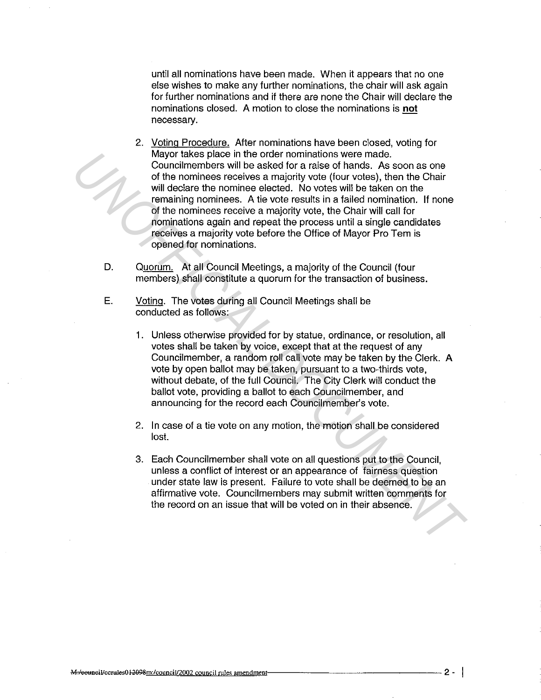until all nominations have been made. When it appears that no one else wishes to make any further nominations, the chair will ask again for further nominations and if there are none the Chair will declare the nominations closed. A motion to close the nominations is **not**  necessary.

- 2. Voting Procedure. After nominations have been closed, voting for Mayor takes place in the order nominations were made. Councilmembers will be asked for a raise of hands. As soon as one of the nominees receives a majority vote (four votes), then the Chair will declare the nominee elected. No votes will be taken on the remaining nominees. A tie vote results in a failed nomination. If none of the nominees receive a majority vote, the Chair will call for nominations again and repeat the process until a single candidates receives a majority vote before the Office of Mayor Pro Tern is opened for nominations. Mayor takes place in the order nominations were made.<br> **Vauncimembers** will be asked for a raise of hands. As soon as one<br>
of the nomines recoives a majority vote (for votes), then the Chair<br>
will declare the nomine electe
	- D. Quorum. At all Council Meetings, a majority of the Council (four members) shall constitute a quorum for the transaction of business.
	- E. Voting. The votes during all Council Meetings shall be conducted as follows:
		- 1. Unless otherwise provided for by statue, ordinance, or resolution, all votes shall be taken by voice, except that at the request of any Councilmember, a random roll call vote may be taken by the Clerk. A vote by open ballot may be taken, pursuant to a two-thirds vote, without debate, of the full Council. The City Clerk will conduct the ballot vote, providing a ballot to each Councilmember, and announcing for the record each Councilmember's vote.
		- 2. In case of a tie vote on any motion, the motion shall be considered lost.
		- 3. Each Councilmember shall vote on all questions put to the Council, unless a conflict of interest or an appearance of fairness question under state law is present. Failure to vote shall be deemed to be an affirmative vote. Councilmembers may submit written comments for the record on an issue that will be voted on in their absence.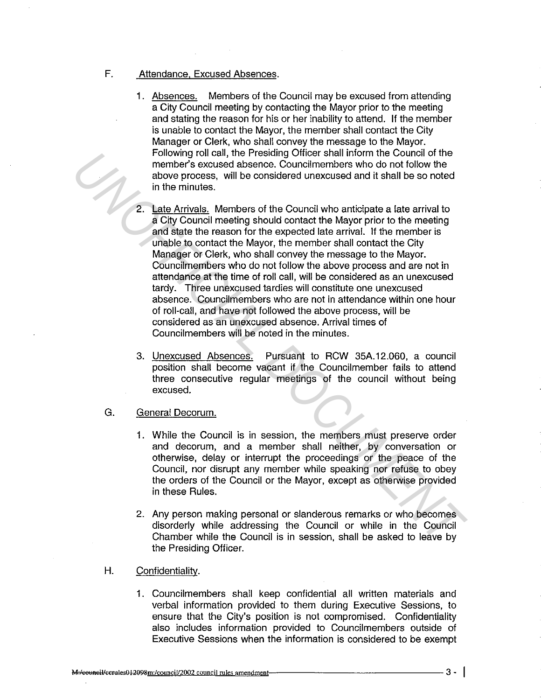## F. Attendance. Excused Absences.

- 1. Absences. Members of the Council may be excused from attending a City Council meeting by contacting the Mayor prior to the meeting and stating the reason for his or her inability to attend. If the member is unable to contact the Mayor, the member shall contact the City Manager or Clerk, who shall convey the message to the Mayor. Following roll call, the Presiding Officer shall inform the Council of the member's excused absence. Councilmembers who do not follow the above process, will be considered unexcused and it shall be so noted in the minutes.
- Late Arrivals. Members of the Council who anticipate a late arrival to a City Council meeting should contact the Mayor prior to the meeting and state the reason for the expected late arrival. If the member is unable to contact the Mayor, the member shall contact the City Manager or Clerk, who shall convey the message to the Mayor. Councilmembers who do not follow the above process and are not in attendance at the time of roll call, will be considered as an unexcused tardy. Three unexcused tardies will constitute one unexcused absence. Councilmembers who are not in attendance within one hour of roll-call, and have not followed the above process, will be considered as an unexcused absence. Arrival times of Councilmembers will be noted in the minutes. **Example Tollar and Presenting Clincer shall inform the Council of the the control of the control of the couple the method of the control of the control of the control of the matter of the Council method and the matter of** 
	- 3. Unexcused Absences. Pursuant to RCW 35A.12.060, a council position shall become vacant if the Councilmember fails to attend three consecutive regular meetings of the council without being excused.
	- G. General Decorum.
		- 1. While the Council is in session, the members must preserve order and decorum, and a member shall neither, by conversation or otherwise, delay or interrupt the proceedings or the peace of the Council, nor disrupt any member while speaking nor refuse to obey the orders of the Council or the Mayor, except as otherwise provided in these Rules.
		- 2. Any person making personal or slanderous remarks or who becomes disorderly while addressing the Council or while in the Council Chamber while the Council is in session, shall be asked to leave by the Presiding Officer.
	- H. Confidentiality.
		- 1. Councilmembers shall keep confidential all written materials and verbal information provided to them during Executive Sessions, to ensure that the City's position is not compromised. Confidentiality also includes information provided to Councilmembers outside of Executive Sessions when the information is considered to be exempt

M:/council/ccrules012098m:/council/2002 council rules amendment-

 $3 - 1$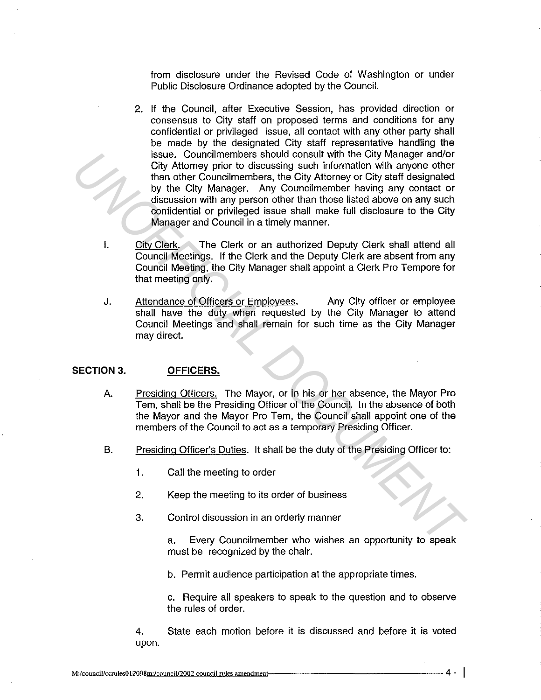from disclosure under the Revised Code of Washington or under Public Disclosure Ordinance adopted by the Council.

- 2. If the Council, after Executive Session, has provided direction or consensus to City staff on proposed terms and conditions for any confidential or privileged issue, all contact with any other party shall be made by the designated City staff representative handling the issue. Councilmembers should consult with the City Manager and/or City Attorney prior to discussing such information with anyone other than other Councilmembers, the City Attorney or City staff designated by the City Manager. Any Councilmember having any contact or discussion with any person other than those listed above on any such confidential or privileged issue shall make full disclosure to the City Manager and Council in a timely manner. **ESSAID CONSTRANT CONSTRANT CONSTRANT CONSTRANT CONSTRANT CONSTRANT CONSTRANT CONSTRANT CONSTRANT CONSTRANT CONSTRANT CONSTRANT CONSTRANT CONSTRANT CONSTRANT CONSTRANT CONSTRANT CONSTRANT CONSTRANT CONSTRANT CONSTRANT CONS** 
	- I. City Clerk. The Clerk or an authorized Deputy Clerk shall attend all Council Meetings. If the Clerk and the Deputy Clerk are absent from any Council Meeting, the City Manager shall appoint a Clerk Pro Tempore for that meeting only.
	- J. Attendance of Officers or Employees. Any City officer or employee shall have the duty when requested by the City Manager to attend Council Meetings and shall remain for such time as the City Manager may direct.

### **SECTION 3. OFFICERS.**

- A. Presiding Officers. The Mayor, or in his or her absence, the Mayor Pro Tern, shall be the Presiding Officer of the Council. In the absence of both the Mayor and the Mayor Pro Tem, the Council shall appoint one of the members of the Council to act as a temporary Presiding Officer.
- B. Presiding Officer's Duties. It shall be the duty of the Presiding Officer to:
	- 1. Call the meeting to order
	- 2. Keep the meeting to its order of business
	- 3. Control discussion in an orderly manner

a. Every Councilmember who wishes an opportunity to speak must be recognized by the chair.

b. Permit audience participation at the appropriate times.

c. Require all speakers to speak to the question and to observe the rules of order.

4. State each motion before it is discussed and before it is voted upon.

 $4 - 1$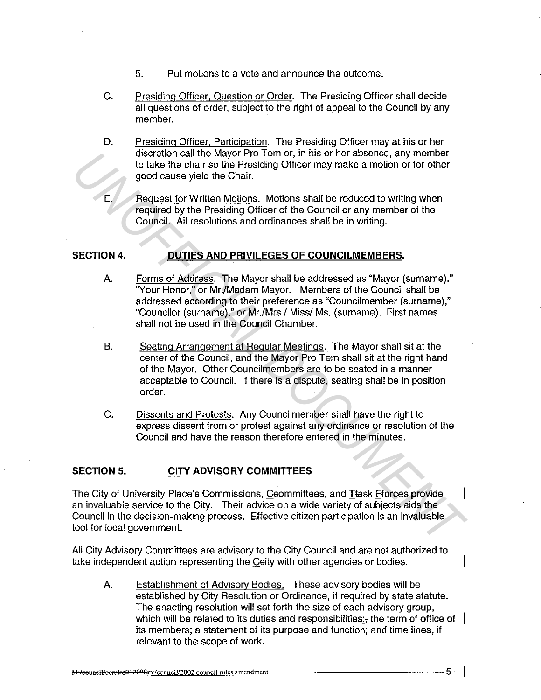- 5. Put motions to a vote and announce the outcome.
- C. Presiding Officer. Question or Order. The Presiding Officer shall decide all questions of order, subject to the right of appeal to the Council by any member.
- D. Presiding Officer, Participation. The Presiding Officer may at his or her discretion call the Mayor Pro Tern or, in his or her absence, any member to take the chair so the Presiding Officer may make a motion or for other good cause yield the Chair.
- E. Request for Written Motions. Motions shall be reduced to writing when required by the Presiding Officer of the Council or any member of the Council. All resolutions and ordinances shall be in writing.

# **SECTION 4. DUTIES AND PRIVILEGES OF COUNCILMEMBERS.**

- A. Forms of Address. The Mayor shall be addressed as "Mayor (surname)." "Your Honor," or Mr./Madam Mayor. Members of the Council shall be addressed according to their preference as "Councilmember (surname)," "Councilor (surname)," or Mr./Mrs./ Miss/ Ms. (surname). First names shall not be used in the Council Chamber. discretion call the Mayor Pro Tem of, in this of the than the discretion, any member<br> **E.** Preguest for Written Motions, Motions shall be reduced to writing when<br> **Figures for Written Motions**, Motions shall be reduced to
	- B. Seating Arrangement at Regular Meetings. The Mayor shall sit at the center of the Council, and the Mayor Pro Tern shall sit at the right hand of the Mayor. Other Councilmembers are to be seated in a manner acceptable to Council. If there is a dispute, seating shall be in position order.
	- C. Dissents and Protests. Any Councilmember shall have the right to express dissent from or protest against any ordinance or resolution of the Council and have the reason therefore entered in the minutes.

## **SECTION 5. CITY ADVISORY COMMITTEES**

The City of University Place's Commissions, Ceommittees, and Itask fforces provide an invaluable service to the City. Their advice on a wide variety of subjects aids the Council in the decision-making process. Effective citizen participation is an invaluable tool for local government.

All City Advisory Committees are advisory to the City Council and are not authorized to take independent action representing the Ceity with other agencies or bodies.

A. Establishment of Advisorv Bodies. These advisory bodies will be established by City Resolution or Ordinance, if required by state statute. The enacting resolution will set forth the size of each advisory group, which will be related to its duties and responsibilities; the term of office of  $\parallel$ its members; a statement of its purpose and function; and time lines, if relevant to the scope of work.

 $5 - 1$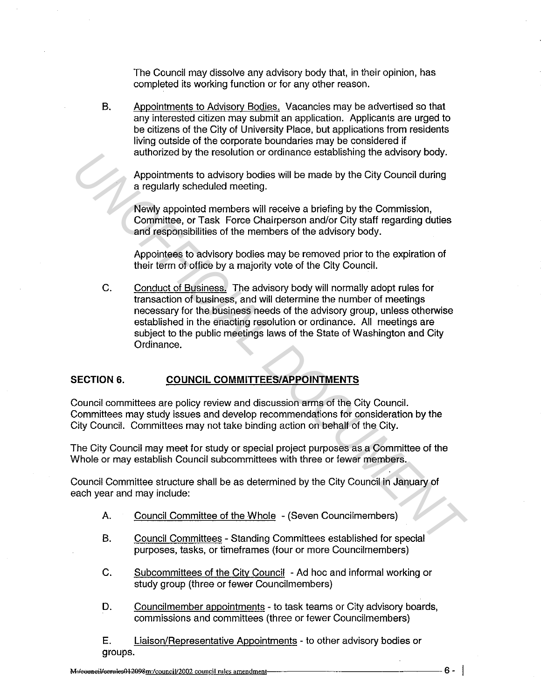The Council may dissolve any advisory body that, in their opinion, has completed its working function or for any other reason.

B. Appointments to Advisory Bodies. Vacancies may be advertised so that any interested citizen may submit an application. Applicants are urged to be citizens of the City of University Place, but applications from residents living outside of the corporate boundaries may be considered if authorized by the resolution or ordinance establishing the advisory body.

Appointments to advisory bodies will be made by the City Council during a regularly scheduled meeting.

Newly appointed members will receive a briefing by the Commission, Committee, or Task Force Chairperson and/or City staff regarding duties and responsibilities of the members of the advisory body.

Appointees to advisory bodies may be removed prior to the expiration of their term of office by a majority vote of the City Council.

C. Conduct of Business. The advisory body will normally adopt rules for transaction of business, and will determine the number of meetings necessary for the business needs of the advisory group, unless otherwise established in the enacting resolution or ordinance. All meetings are subject to the public meetings laws of the State of Washington and City Ordinance. aturiorized by the resolution or ordinance establishing the advisory body.<br>
4 regularly scheduled meither,<br> **Committee, or Task Force Chaligres and Core Chaligres**<br> **Committee, or Task Force Chaligres and Core Chaligres**<br>

## **SECTION 6. COUNCIL COMMITTEES/APPOINTMENTS**

Council committees are policy review and discussion arms of the City Council. Committees may study issues and develop recommendations for consideration by the City Council. Committees may not take binding action on behalf of the City.

The City Council may meet for study or special project purposes as a Committee of the Whole or may establish Council subcommittees with three or fewer members.

Council Committee structure shall be as determined by the City Council in January of each year and may include:

- A. Council Committee of the Whole (Seven Councilmembers)
- B. Council Committees Standing Committees established for special purposes, tasks, or timeframes (four or more Councilmembers)
- C. Subcommittees of the City Council Ad hoc and informal working or study group (three or fewer Councilmembers)
- D. Councilmember appointments to task teams or City advisory boards, commissions and committees (three or fewer Council members)

E. Liaison/Representative Appointments - to other advisory bodies or groups.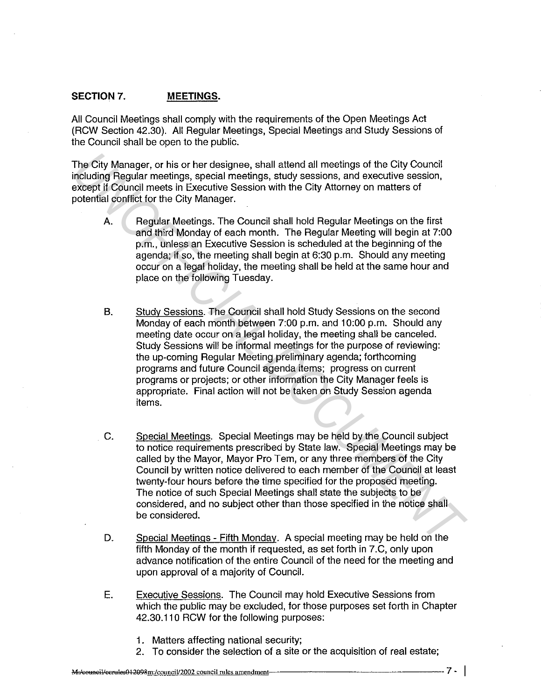### **SECTION** 7. **MEETINGS.**

All Council Meetings shall comply with the requirements of the Open Meetings Act (RCW Section 42.30). All Regular Meetings, Special Meetings and Study Sessions of the Council shall be open to the public.

The City Manager, or his or her designee, shall attend all meetings of the City Council including Regular meetings, special meetings, study sessions, and executive session, except if Council meets in Executive Session with the City Attorney on matters of potential conflict for the City Manager.

- A. Regular Meetings. The Council shall hold Regular Meetings on the first and third Monday of each month. The Regular Meeting will begin at 7:00 p.m., unless an Executive Session is scheduled at the beginning of the agenda; if so, the meeting shall begin at 6:30 p.m. Should any meeting occur on a legal holiday, the meeting shall be held at the same hour and place on the following Tuesday.
- B. Study Sessions. The Council shall hold Study Sessions on the second Monday of each month between 7:00 p.m. and 10:00 p.m. Should any meeting date occur on a legal holiday, the meeting shall be canceled. Study Sessions will be informal meetings for the purpose of reviewing: the up-coming Regular Meeting preliminary agenda; forthcoming programs and future Council agenda items; progress on current programs or projects; or other information the City Manager feels is appropriate. Final action will not be taken on Study Session agenda items. The City Manager, or his or her designee, shall attend all meetings of the City Council<br>
including Regular meetings, special meetings, study sessions, and executive session,<br>
including Regular meetings, special meetings, s
	- C. Special Meetings. Special Meetings may be held by the Council subject to notice requirements prescribed by State law. Special Meetings may be called by the Mayor, Mayor Pro Tem, or any three members of the City Council by written notice delivered to each member of the Council at least twenty-four hours before the time specified for the proposed meeting. The notice of such Special Meetings shall state the subjects to be considered, and no subject other than those specified in the notice shall be considered.
	- D. Special Meetings Fifth Monday. A special meeting may be held on the fifth Monday of the month if requested, as set forth in 7.C, only upon advance notification of the entire Council of the need for the meeting and upon approval of a majority of Council.
	- E. Executive Sessions. The Council may hold Executive Sessions from which the public may be excluded, for those purposes set forth in Chapter 42.30.110 RCW for the following purposes:
		- 1. Matters affecting national security;
		- 2. To consider the selection of a site or the acquisition of real estate;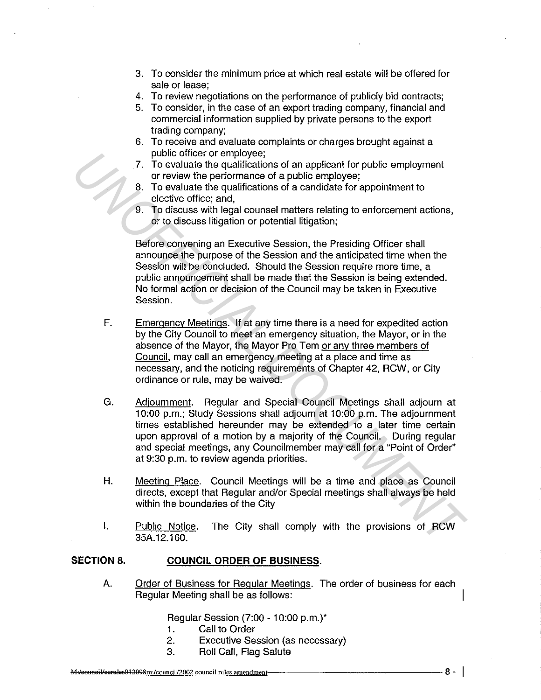- 3. To consider the minimum price at which real estate will be offered for sale or lease;
- 4. To review negotiations on the performance of publicly bid contracts;
- 5. To consider, in the case of an export trading company, financial and commercial information supplied by private persons to the export trading company;
- 6. To receive and evaluate complaints or charges brought against a public officer or employee;
- 7. To evaluate the qualifications of an applicant for public employment or review the performance of a public employee;
- 8. To evaluate the qualifications of a candidate for appointment to elective office; and,
- 9. To discuss with legal counsel matters relating to enforcement actions, or to discuss litigation or potential litigation;

Before convening an Executive Session, the Presiding Officer shall announce the purpose of the Session and the anticipated time when the Session will be concluded. Should the Session require more time, a public announcement shall be made that the Session is being extended. No formal action or decision of the Council may be taken in Executive Session.

- F. Emergency Meetings. If at any time there is a need for expedited action by the City Council to meet an emergency situation, the Mayor, or **in** the absence of the Mayor, the Mayor Pro Tem or any three members of Council, may call an emergency meeting at a place and time as necessary, and the noticing requirements of Chapter 42, RCW, or City ordinance or rule, may be waived.
- G. Adjournment. Regular and Special Council Meetings shall adjourn at 10:00 p.m.; Study Sessions shall adjourn at 10:00 p.m. The adjournment times established hereunder may be extended to a later time certain upon approval of a motion by a majority of the Council. During regular and special meetings, any Councilmember may call for a "Point of Order" at 9:30 p.m. to review agenda priorities. **Public officers or employees**<br> **UNOFFICIAL TO evaluate the qualifications of an applicant for public employment<br>
8. To evaluate the qualifications of a candidate for appointment to<br>
8. To evaluate the qualifications of a** 
	- **H.** Meeting Place. Council Meetings will be a time and place as Council directs, except that Regular and/or Special meetings shall always be held within the boundaries of the City
	- I. Public Notice. The City shall comply with the provisions of RCW 35A.12.160.

## **SECTION 8. COUNCIL ORDER OF BUSINESS.**

A. Order of Business for Regular Meetings. The order of business for each Regular Meeting shall be as follows:

Regular Session (7:00 - 10:00 p.m.)\*

- 1. Call to Order
- 2. Executive Session (as necessary)
- 3. Roll Call, Flag Salute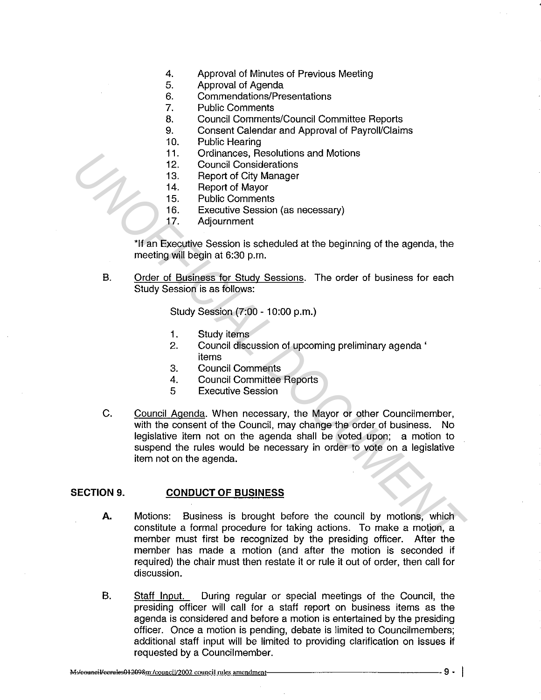- 4. Approval of Minutes of Previous Meeting
- 5. Approval of Agenda
- 6. Commendations/Presentations<br>7. Public Comments
- Public Comments
- 8. Council Comments/Council Committee Reports
- 9. Consent Calendar and Approval of Payroll/Claims
- 10. Public Hearing
- 11. Ordinances, Resolutions and Motions
- 12. Council Considerations
- 13. Report of City Manager
- 14. Report of Mayor<br>15. Public Comment
	- Public Comments
- 16. Executive Session (as necessary)
- 17. Adjournment

\*If an Executive Session is scheduled at the beginning of the agenda, the meeting will begin at 6:30 p.m.

B. Order of Business for Study Sessions. The order of business for each Study Session is as follows:

Study Session (7:00 - 10:00 p.m.)

- 1. Study items
- 2. Council discussion of upcoming preliminary agenda ' items
- 3. Council Comments
- 4. Council Committee Reports
- 5 Executive Session
- C. Council Agenda. When necessary, the Mayor or other Councilmember, with the consent of the Council, may change the order of business. No legislative item not on the agenda shall be voted upon; a motion to suspend the rules would be necessary in order to vote on a legislative item not on the agenda. 11. Crotinances, Resolutions and Mottons<br>
12. Council Considerations<br>
14. Report of Mayor<br>
15. Evecutive Session (as necessary)<br>
17. Adjournment<br>
16. Executive Session (as necessary)<br>
17. Adjournment<br>
16. Executive Session

#### **SECTION 9. CONDUCT OF BUSINESS**

- **A.** Motions: Business is brought before the council by motions, which constitute a formal procedure for taking actions. To make a motion, a member must first be recognized by the presiding officer. After the member has made a motion (and after the motion is seconded if required) the chair must then restate it or rule it out of order, then call for discussion.
- B. Staff Input. During regular or special meetings of the Council, the presiding officer will call for a staff report on business items as the agenda is considered and before a motion is entertained by the presiding officer. Once a motion is pending, debate is limited to Councilmembers; additional staff input will be limited to providing clarification on issues if requested by a Councilmember.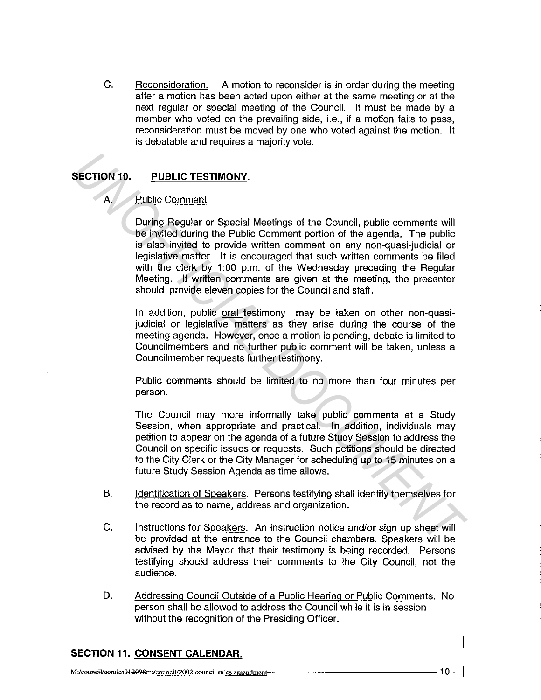C. Reconsideration. A motion to reconsider is in order during the meeting after a motion has been acted upon either at the same meeting or at the next regular or special meeting of the Council. It must be made by a member who voted on the prevailing side, i.e., if a motion fails to pass, reconsideration must be moved by one who voted against the motion. It is debatable and requires a majority vote.

## **SECTION** 10. **PUBLIC TESTIMONY.**

## A. Public Comment

During Regular or Special Meetings of the Council, public comments will be invited during the Public Comment portion of the agenda. The public is also invited to provide written comment on any non-quasi-judicial or legislative matter. It is encouraged that such written comments be filed with the clerk by 1:00 p.m. of the Wednesday preceding the Regular Meeting. If written comments are given at the meeting, the presenter should provide eleven copies for the Council and staff. **EXECTION 10. PUBLIC TESTIMONY.**<br> **A** Public Comment by the Public Comments will be invited during the Public Comments of the Council, public comments will be is more than the public Comment portion of the agenda. The pu

In addition, public oral testimony may be taken on other non-quasijudicial or legislative matters as they arise during the course of the meeting agenda. However, once a motion is pending, debate is limited to Councilmembers and no further public comment will be taken, unless a Councilmember requests further testimony.

Public comments should be limited to no more than four minutes per person.

The Council may more informally take public comments at a Study Session, when appropriate and practical. In addition, individuals may petition to appear on the agenda of a future Study Session to address the Council on specific issues or requests. Such petitions should be directed to the City Clerk or the City Manager for scheduling up to 15 minutes on a future Study Session Agenda as time allows.

- B. Identification of Speakers. Persons testifying shall identify themselves for the record as to name, address and organization.
- C. Instructions for Speakers. An instruction notice and/or sign up sheet will be provided at the entrance to the Council chambers. Speakers will be advised by the Mayor that their testimony is being recorded. Persons testifying should address their comments to the City Council, not the audience.
- D. Addressing Council Outside of a Public Hearing or Public Comments. No person shall be allowed to address the Council while it is in session without the recognition of the Presiding Officer.

## **SECTION 11. CONSENT CALENDAR.**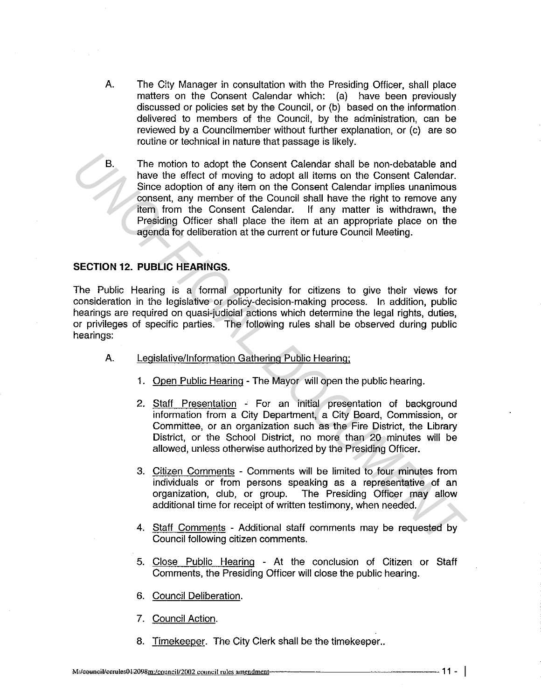A. The City Manager in consultation with the Presiding Officer, shall place matters on the Consent Calendar which: (a) have been previously discussed or policies set by the Council, or (b) based on the information. delivered to members of the Council, by the administration, can be reviewed by a Councilmember without further explanation, or (c) are so routine or technical in nature that passage is likely.

B. The motion to adopt the Consent Calendar shall be non-debatable and have the effect of moving to adopt all items on the Consent Calendar. Since adoption of any item on the Consent Calendar implies unanimous consent, any member of the Council shall have the right to remove any item from the Consent Calendar. If any matter is withdrawn, the Presiding Officer shall place the item at an appropriate place on the agenda for deliberation at the current or future Council Meeting. **Example 10** and the Consent Calendar shall be non-debatable and<br>there existed of moving to adopt all thems on the Consent Calendar.<br>Some adoption of any item on the Consent Calendar implies unanimous<br>consent, any member o

#### **SECTION** 12. **PUBLIC HEARINGS.**

The Public Hearing is a formal opportunity for citizens to give their views for consideration in the legislative or policy-decision-making process. In addition, public hearings are required on quasi-judicial actions which determine the legal rights, duties, or privileges of specific parties. The following rules shall be observed during public hearings:

- A. Legislative/Information Gathering Public Hearing;
	- 1. Open Public Hearing The Mayor will open the public hearing.
	- 2. Staff Presentation For an initial presentation of background information from a City Department, a City Board, Commission, or Committee, or an organization such as the Fire District, the Library District, or the School District, no more than 20 minutes will be allowed, unless otherwise authorized by the Presiding Officer.
	- 3. Citizen Comments Comments will be limited to four minutes from individuals or from persons speaking as a representative of an organization, club, or group. The Presiding Officer may allow additional time for receipt of written testimony, when needed.
	- 4. Staff Comments Additional staff comments may be requested by Council following citizen comments.
	- 5. Close Public Hearing At the conclusion of Citizen or Staff Comments, the Presiding Officer will close the public hearing.
	- 6. Council Deliberation.
	- 7. Council Action.
	- 8. Timekeeper. The City Clerk shall be the timekeeper..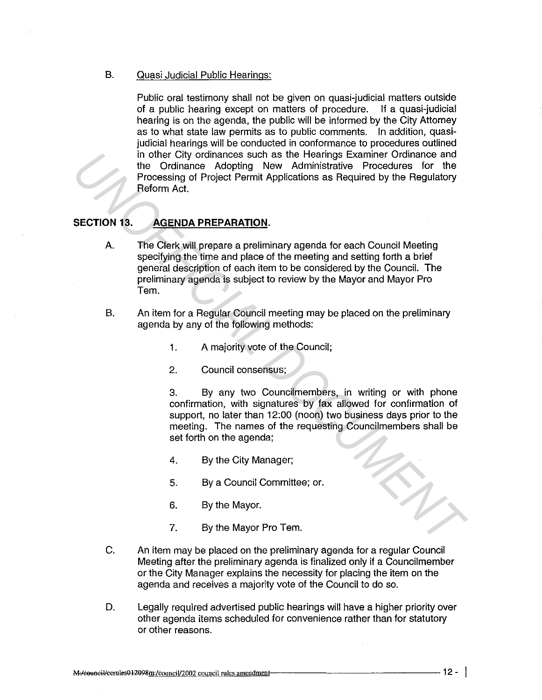B. Quasi Judicial Public Hearings:

Public oral testimony shall not be given on quasi-judicial matters outside of a public hearing except on matters of procedure. If a quasi-judicial hearing is on the agenda, the public will be informed by the City Attorney as to what state law permits as to public comments. In addition, quasijudicial hearings will be conducted in conformance to procedures outlined in other City ordinances such as the Hearings Examiner Ordinance and the Ordinance Adopting New Administrative Procedures for the Processing of Project Permit Applications as Required by the Regulatory Reform Act.

# **SECTION 13. AGENDA PREPARATION.**

- A. The Clerk will prepare a preliminary agenda for each Council Meeting specifying the time and place of the meeting and setting forth a brief general description of each item to be considered by the Council. The preliminary agenda is subject to review by the Mayor and Mayor Pro Tem. in the Christopheimes such as the Heiarings Examiner Ordinance and<br> *Processing of Project Permit Applications as Required by the Regulatory<br>
Processing of Project Permit Applications as Required by the Regulatory<br>
Reform* 
	- B. An item for a Regular Council meeting may be placed on the preliminary agenda by any of the following methods:
		- 1. A majority vote of the Council;
		- 2. Council consensus;

3. By any two Councilmembers, in writing or with phone confirmation, with signatures by fax allowed for confirmation of support, no later than 12:00 (noon) two business days prior to the meeting. The names of the requesting Councilmembers shall be set forth on the agenda;

- 4. By the City Manager;
- 5. By a Council Committee; or.
- 6. By the Mayor.
- 7. By the Mayor Pro Tem.
- C. An item may be placed on the preliminary agenda for a regular Council Meeting after the preliminary agenda is finalized only if a Councilmember or the City Manager explains the necessity for placing the item on the agenda and receives a majority vote of the Council to do so.
- D. Legally required advertised public hearings will have a higher priority over other agenda items scheduled for convenience rather than for statutory or other reasons.